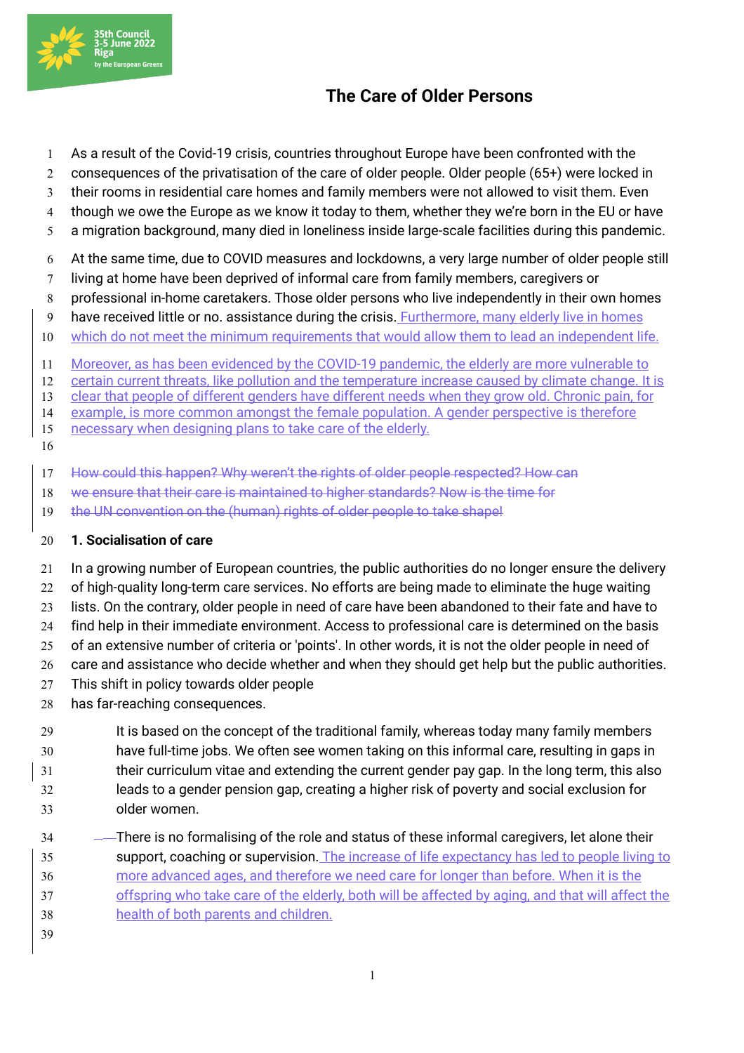

## **The Care of Older Persons**

- As a result of the Covid-19 crisis, countries throughout Europe have been confronted with the
- 2 consequences of the privatisation of the care of older people. Older people (65+) were locked in
- their rooms in residential care homes and family members were not allowed to visit them. Even
- though we owe the Europe as we know it today to them, whether they we're born in the EU or have
- a migration background, many died in loneliness inside large-scale facilities during this pandemic.
- At the same time, due to COVID measures and lockdowns, a very large number of older people still
- living at home have been deprived of informal care from family members, caregivers or
- professional in-home caretakers. Those older persons who live independently in their own homes
- 9 have received little or no. assistance during the crisis. Furthermore, many elderly live in homes
- which do not meet the minimum requirements that would allow them to lead an independent life.
- Moreover, as has been evidenced by the COVID-19 pandemic, the elderly are more vulnerable to
- certain current threats, like pollution and the temperature increase caused by climate change. It is
- clear that people of different genders have different needs when they grow old. Chronic pain, for
- example, is more common amongst the female population. A gender perspective is therefore
- 15 necessary when designing plans to take care of the elderly.
- How could this happen? Why weren't the rights of older people respected? How can
- we ensure that their care is maintained to higher standards? Now is the time for
- 19 the UN convention on the (human) rights of older people to take shape!

## **1. Socialisation of care**

- In a growing number of European countries, the public authorities do no longer ensure the delivery
- of high-quality long-term care services. No efforts are being made to eliminate the huge waiting
- lists. On the contrary, older people in need of care have been abandoned to their fate and have to
- find help in their immediate environment. Access to professional care is determined on the basis
- of an extensive number of criteria or 'points'. In other words, it is not the older people in need of
- 26 care and assistance who decide whether and when they should get help but the public authorities.
- This shift in policy towards older people
- has far-reaching consequences.
- 29 It is based on the concept of the traditional family, whereas today many family members have full-time jobs. We often see women taking on this informal care, resulting in gaps in their curriculum vitae and extending the current gender pay gap. In the long term, this also leads to a gender pension gap, creating a higher risk of poverty and social exclusion for older women.
- There is no formalising of the role and status of these informal caregivers, let alone their support, coaching or supervision. The increase of life expectancy has led to people living to more advanced ages, and therefore we need care for longer than before. When it is the offspring who take care of the elderly, both will be affected by aging, and that will affect the health of both parents and children.
-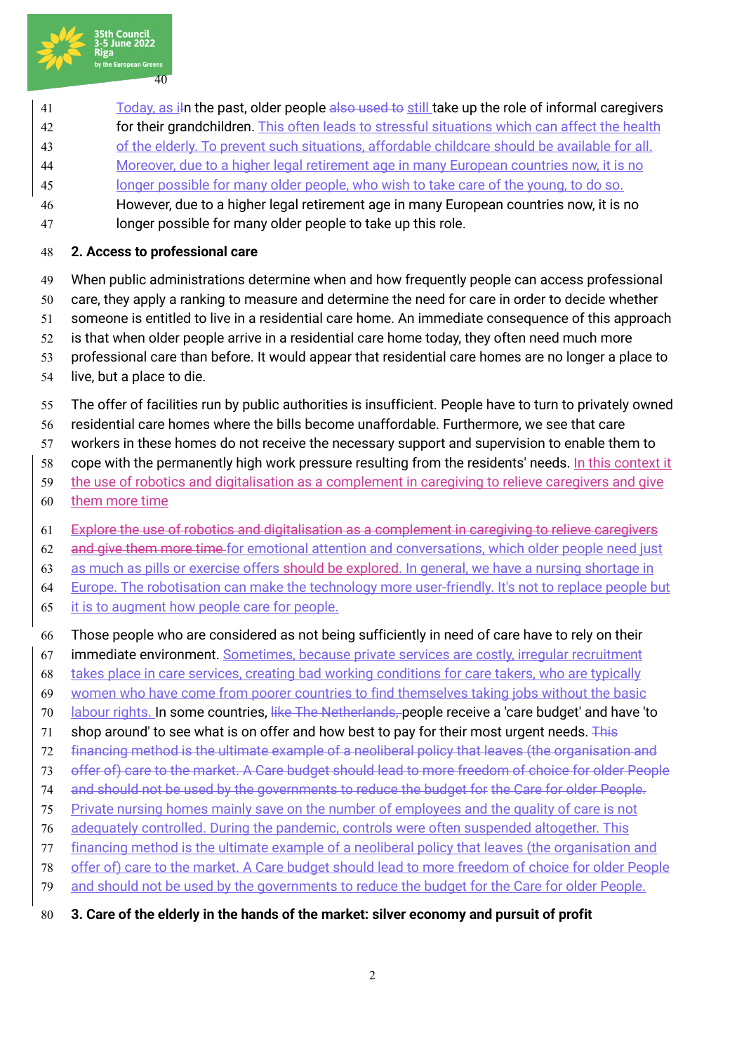

- 41 Today, as i<sub>f</sub> the past, older people also used to still take up the role of informal caregivers
- for their grandchildren. This often leads to stressful situations which can affect the health
- of the elderly. To prevent such situations, affordable childcare should be available for all.
- Moreover, due to a higher legal retirement age in many European countries now, it is no
- longer possible for many older people, who wish to take care of the young, to do so.
- However, due to a higher legal retirement age in many European countries now, it is no longer possible for many older people to take up this role.
- **2. Access to professional care**
- When public administrations determine when and how frequently people can access professional
- care, they apply a ranking to measure and determine the need for care in order to decide whether
- someone is entitled to live in a residential care home. An immediate consequence of this approach
- 52 is that when older people arrive in a residential care home today, they often need much more
- professional care than before. It would appear that residential care homes are no longer a place to
- live, but a place to die.
- The offer of facilities run by public authorities is insufficient. People have to turn to privately owned
- residential care homes where the bills become unaffordable. Furthermore, we see that care
- workers in these homes do not receive the necessary support and supervision to enable them to
- cope with the permanently high work pressure resulting from the residents' needs. In this context it
- the use of robotics and digitalisation as a complement in caregiving to relieve caregivers and give
- them more time
- Explore the use of robotics and digitalisation as a complement in caregiving to relieve caregivers
- 62 and give them more time for emotional attention and conversations, which older people need just
- as much as pills or exercise offers should be explored. In general, we have a nursing shortage in
- Europe. The robotisation can make the technology more user-friendly. It's not to replace people but
- it is to augment how people care for people.
- Those people who are considered as not being sufficiently in need of care have to rely on their
- 67 immediate environment. Sometimes, because private services are costly, irregular recruitment
- takes place in care services, creating bad working conditions for care takers, who are typically
- women who have come from poorer countries to find themselves taking jobs without the basic
- 70 labour rights. In some countries, like The Netherlands, people receive a 'care budget' and have 'to
- 71 shop around' to see what is on offer and how best to pay for their most urgent needs. This
- financing method is the ultimate example of a neoliberal policy that leaves (the organisation and
- offer of) care to the market. A Care budget should lead to more freedom of choice for older People
- and should not be used by the governments to reduce the budget for the Care for older People.
- Private nursing homes mainly save on the number of employees and the quality of care is not
- adequately controlled. During the pandemic, controls were often suspended altogether. This
- financing method is the ultimate example of a neoliberal policy that leaves (the organisation and
- offer of) care to the market. A Care budget should lead to more freedom of choice for older People
- and should not be used by the governments to reduce the budget for the Care for older People.
- **3. Care of the elderly in the hands of the market: silver economy and pursuit of profit**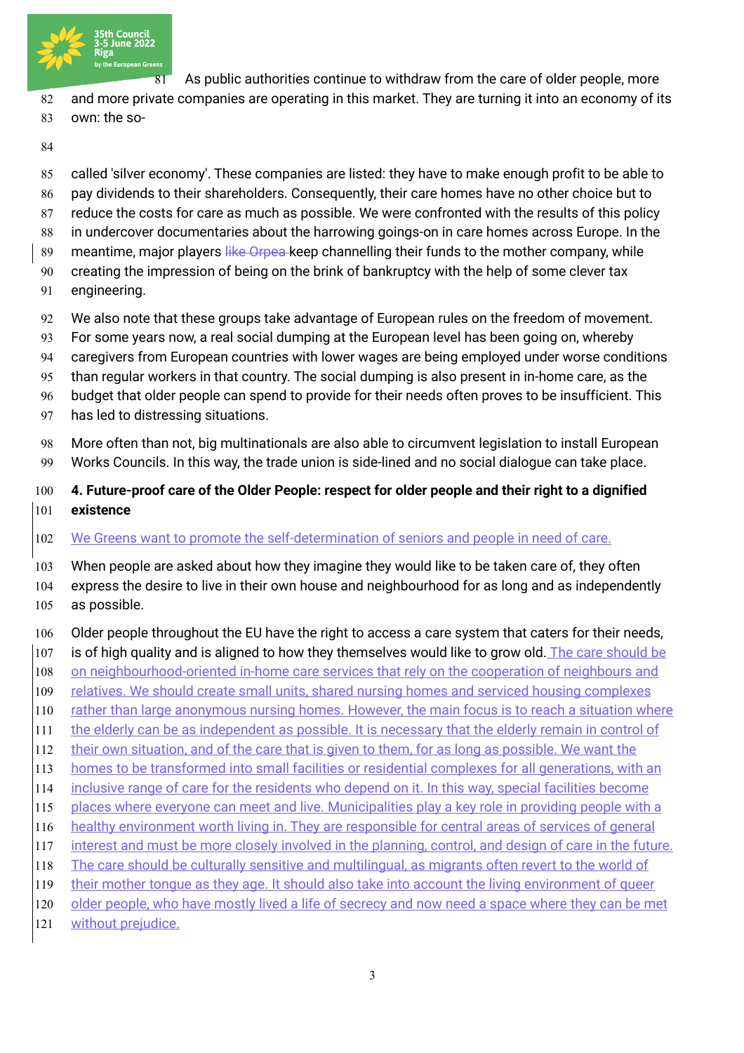

As public authorities continue to withdraw from the care of older people, more

- 82 and more private companies are operating in this market. They are turning it into an economy of its own: the so-
- 
- called 'silver economy'. These companies are listed: they have to make enough profit to be able to
- 86 pay dividends to their shareholders. Consequently, their care homes have no other choice but to
- reduce the costs for care as much as possible. We were confronted with the results of this policy
- 88 in undercover documentaries about the harrowing goings-on in care homes across Europe. In the
- 89 meantime, major players like Orpea keep channelling their funds to the mother company, while
- creating the impression of being on the brink of bankruptcy with the help of some clever tax
- engineering.
- We also note that these groups take advantage of European rules on the freedom of movement.
- 93 For some years now, a real social dumping at the European level has been going on, whereby
- caregivers from European countries with lower wages are being employed under worse conditions
- than regular workers in that country. The social dumping is also present in in-home care, as the
- budget that older people can spend to provide for their needs often proves to be insufficient. This
- has led to distressing situations.
- More often than not, big multinationals are also able to circumvent legislation to install European Works Councils. In this way, the trade union is side-lined and no social dialogue can take place.
- **4. Future-proof care of the Older People: respect for older people and their right to a dignified existence**
- We Greens want to promote the self-determination of seniors and people in need of care.
- When people are asked about how they imagine they would like to be taken care of, they often
- express the desire to live in their own house and neighbourhood for as long and as independently as possible.
- Older people throughout the EU have the right to access a care system that caters for their needs,
- is of high quality and is aligned to how they themselves would like to grow old. The care should be
- 108 on neighbourhood-oriented in-home care services that rely on the cooperation of neighbours and
- relatives. We should create small units, shared nursing homes and serviced housing complexes
- 110 rather than large anonymous nursing homes. However, the main focus is to reach a situation where
- 111 the elderly can be as independent as possible. It is necessary that the elderly remain in control of
- 112 their own situation, and of the care that is given to them, for as long as possible. We want the
- 113 homes to be transformed into small facilities or residential complexes for all generations, with an
- inclusive range of care for the residents who depend on it. In this way, special facilities become
- places where everyone can meet and live. Municipalities play a key role in providing people with a
- healthy environment worth living in. They are responsible for central areas of services of general
- interest and must be more closely involved in the planning, control, and design of care in the future.
- 118 The care should be culturally sensitive and multilingual, as migrants often revert to the world of their mother tongue as they age. It should also take into account the living environment of queer
- 120 older people, who have mostly lived a life of secrecy and now need a space where they can be met
- without prejudice.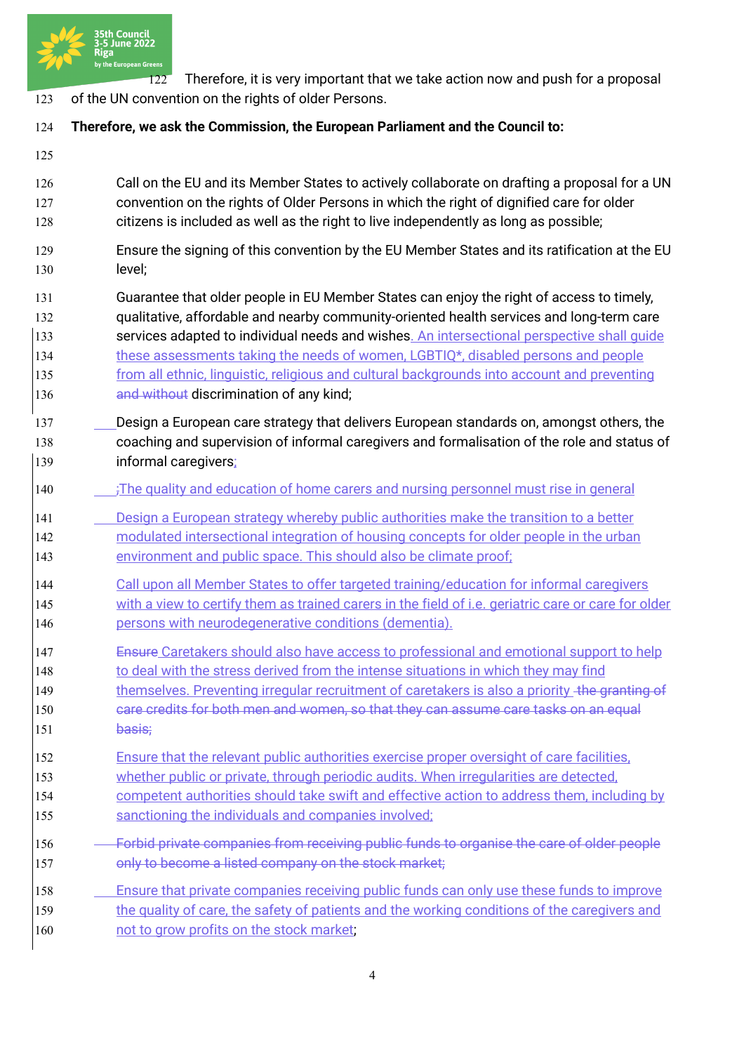

 Therefore, it is very important that we take action now and push for a proposal of the UN convention on the rights of older Persons.

## **Therefore, we ask the Commission, the European Parliament and the Council to:**

 Call on the EU and its Member States to actively collaborate on drafting a proposal for a UN convention on the rights of Older Persons in which the right of dignified care for older citizens is included as well as the right to live independently as long as possible;

- Ensure the signing of this convention by the EU Member States and its ratification at the EU level;
- Guarantee that older people in EU Member States can enjoy the right of access to timely, qualitative, affordable and nearby community-oriented health services and long-term care 133 services adapted to individual needs and wishes. An intersectional perspective shall quide 134 these assessments taking the needs of women, LGBTIQ\*, disabled persons and people from all ethnic, linguistic, religious and cultural backgrounds into account and preventing **and without discrimination of any kind;**
- Design a European care strategy that delivers European standards on, amongst others, the coaching and supervision of informal caregivers and formalisation of the role and status of informal caregivers;
- **;The quality and education of home carers and nursing personnel must rise in general**
- Design a European strategy whereby public authorities make the transition to a better modulated intersectional integration of housing concepts for older people in the urban
- environment and public space. This should also be climate proof;
- Call upon all Member States to offer targeted training/education for informal caregivers 145 with a view to certify them as trained carers in the field of i.e. geriatric care or care for older persons with neurodegenerative conditions (dementia).
- **Ensure Caretakers should also have access to professional and emotional support to help** 148 to deal with the stress derived from the intense situations in which they may find
- 149 themselves. Preventing irregular recruitment of caretakers is also a priority the granting of care credits for both men and women, so that they can assume care tasks on an equal 151 basis;
- Ensure that the relevant public authorities exercise proper oversight of care facilities,
- whether public or private, through periodic audits. When irregularities are detected,
- competent authorities should take swift and effective action to address them, including by
- 155 sanctioning the individuals and companies involved;
- Forbid private companies from receiving public funds to organise the care of older people 157 only to become a listed company on the stock market;
- Ensure that private companies receiving public funds can only use these funds to improve 159 the quality of care, the safety of patients and the working conditions of the caregivers and 160 not to grow profits on the stock market;